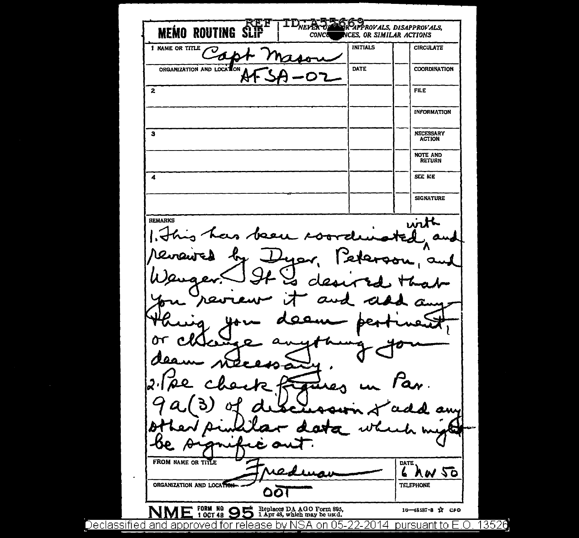**MEMO ROUTING SI** APPROVALS, DISAPPROVALS, **CONCO NCES, OR SIMILAR ACTIONS** INITIALS **CIRCULATE** 1 NAME OR TITLE Ό ⊿ ORGANIZATION AND LOCATION DATE **COORDINATION**  $\overline{2}$ FILE **INFORMATION**  $\overline{\mathbf{s}}$ **NECESSARY** NOTE AND  $\overline{A}$ **SCE ME SIGNATURE** REMARKS with سە  $\alpha$ am œ  $\bullet$ **FROM NAME OR TITLE DATE** L YM 20 ORGANIZATION AND LOCATION-**TELEPHONE** ୦୦ FORM NO 95 Replaces DA AGO Form 895, 1 OCT 48 9 LApr 48, which may be used. 10-48187-8 3 СРО NI Declassified and approved for release by NSA on 05-22-2014 pursuant to E.O. 13526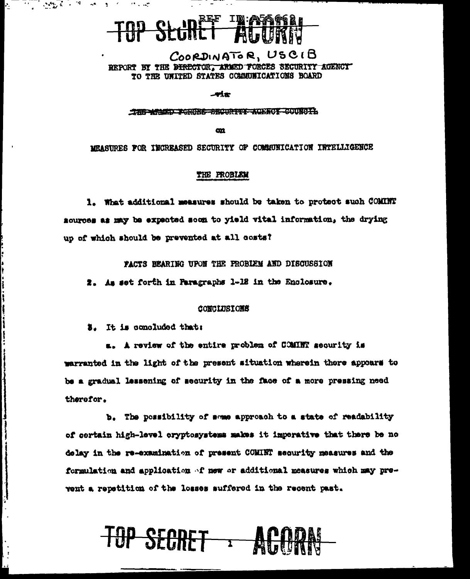## TOP SECRET TRIASPERS

COORDINATOR, USCIB REPORT BY THE DIRECTOR. ARMED FORCES SECURITY AGENCY TO THE UNITED STATES COMMUNICATIONS BOARD

-wiæ

THE ARMIT PERDES SECURITY AGENCY COUNCIL

**cm** 

MEASURES FOR INCREASED SECURITY OF COMMUNICATION INTELLIGENCE

#### THE PROBLEM

1. What additional measures should be taken to protect such COMINT sources as may be expected soon to yield vital information, the drying up of which should be prevented at all costs?

PACTS BEARING UPON THE PROBLEM AND DISCUSSION

2. As set forth in Paragraphs 1-12 in the Enclosure.

#### CONCLUSIONS

**E.** It is concluded that:

 $\label{eq:3.1} \mathcal{M}_{\mathcal{D}_1,\mathcal{K}} = \mathcal{M}_{\mathcal{D}_2,\mathcal{K}} = \mathcal{M}_{\mathcal{D}_1,\mathcal{K}}$ 

Ą.

a tanggunakan dina sahiji

فبملاف فيرد وينسب

 $\mathbf{S} = \mathbf{S}^T$  , and  $\mathbf{S} = \mathbf{S}^T$  , and

a. A review of the entire problem of COMINT security is warranted in the light of the present situation wherein there appears to be a gradual lessening of security in the face of a more pressing need therefor.

b. The possibility of some approach to a state of readability of certain high-level cryptosystems makes it imperative that there be no delay in the re-examination of present COMINT security measures and the formulation and application of new or additional measures which may prevent a repetition of the losses suffered in the recent past.

TOP SECRET : ACTUANT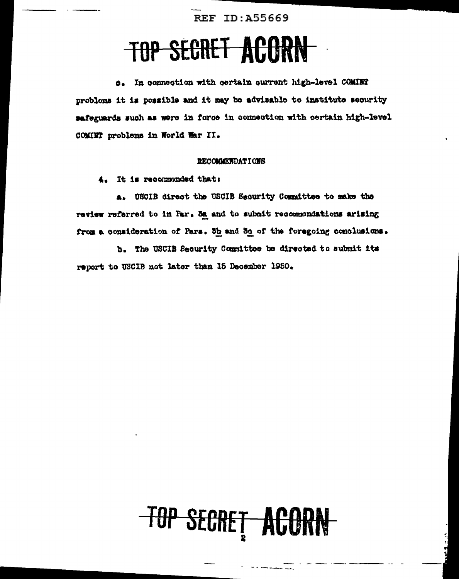**REF ID: A55669** 

### TOP SECRET ACORN

d. In connection with certain current high-level COMINT problems it is possible and it may be advisable to institute security #afeguards such as were in force in connection with certain high-level COMINT problems in World War II.

#### **RECOMMENDATIONS**

It is recommonded that: 4.

a. USCIB direct the USCIB Security Committee to make the review referred to in Par. Sa and to submit recommondations arising from a consideration of Pars. 3h and 50 of the foregoing conclusions.

b. The USCIB Security Committee be directed to submit its report to USCIB not later than 15 December 1950.

# **TOP SECRET ACORN**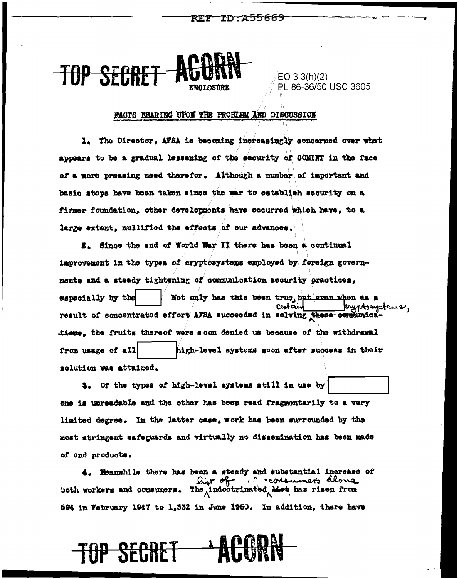TD A55669

<del>TOP SECRE</del>

EO  $3.3(h)(2)$ PL 86-36/50 USC 3605

#### FACTS BEARING UPON THE PROBLEM AND DISCUSSION

1. The Director, AFSA is becoming increasingly concerned over what appears to be a gradual lessening of the security of COMINT in the face of a more pressing need therefor. Although a number of important and basic steps have been taken since the war to establish security on a firmer foundation, other developments have occurred which have, to a large extent, nullified the effects of our advances.

2. Since the end of World War II there has been a continual improvement in the types of cryptosystems employed by foreign governments and a steady tightening of communication security practices, especially by the Not only has this been true, but aven when as a Centai eyptosystems, result of concentrated effort AFSA succeeded in solving these communical tions, the fruits thereof were soon denied us because of the withdrawal high-level systems soon after success in their from usage of all solution was attained.

5. Of the types of high-level systems still in use by ene is unreadable and the other has been read fragmentarily to a very limited degree. In the latter case, work has been surrounded by the most atringent safeguards and virtually no dissemination has been made of end products.

4. Heanwhile there has been a steady and substantial increase of both workers and consumers. The indootrinated Mot has risen from 594 in February 1947 to 1,332 in June 1950. In addition, there have

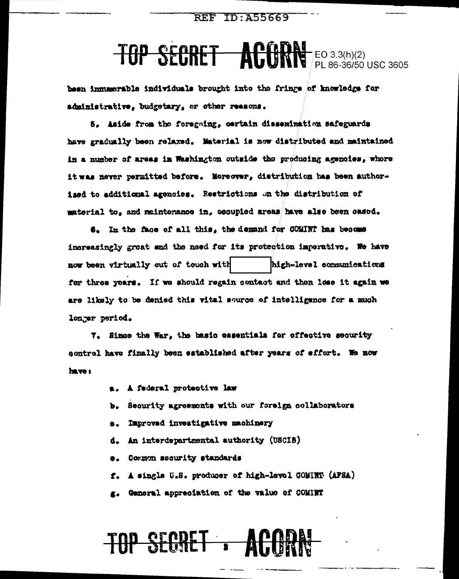## TOP SECRET ACORN FL 86-36/50 USC 3605

been immumorable individuals brought into the fringe of knowledge for administrative, budgetary, or other reasons.

5. Aside from the foregoing, certain dissemination safeguards have gradually been relaxed. Material is now distributed and maintained in a number of areas in Washington outside the producing agencies, whore it was never permitted before. Moreover, distribution has been authorised to additional agencies. Restrictions on the distribution of material to, and maintenance in, occupied areas have also been casod.

6. In the face of all this, the demand for COMINT has become increasingly great and the need for its protection imporative. We have high-level communications now been virtually out of touch with for three years. If we should regain contact and then less it again we are likely to be denied this wital source of intelligence for a much longer period.

7. Since the War, the basic essentials for effective security control have finally been established after years of effort. We now have :

- A federal protective law
- Security agreements with our foreign collaborators 'n.
- Improved investigative machinery  $\bullet$ .
- An interdepartmental authority (USCIB) d.
- Common security standards **a.**
- f. A single U.S. producer of high-level COMINT (AFSA)
- g. General appreciation of the value of COMINT

## TOP SECRET : ACODAY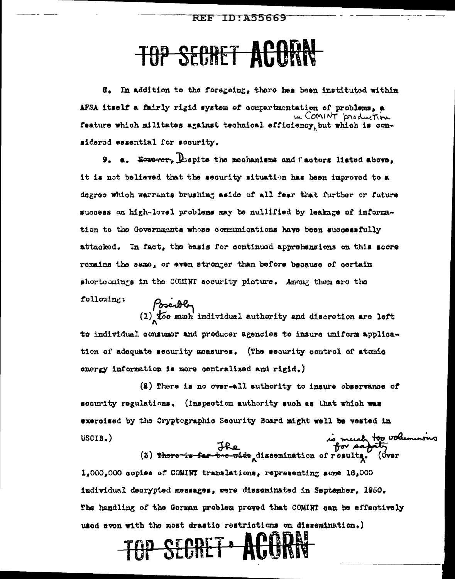### **TOP SECRET ACORN**

6. In addition to the foregoing, there has been instituted within AFSA itself a fairly rigid system of compartmentation of problems, a reature which militates against technical efficiency, but which is considered essential for security.

9. a. However, Dispite the mechanisms and factors listed above, it is not believed that the security situation has been improved to a degree which warrants brushing aside of all fear that further or future success on high-lovel problems may be nullified by leakage of information to the Governments whose communications have been successfully attacked. In fact, the basis for continued apprehensions on this score remains the same, or even stronger than before because of certain shortoemings in the COHNN security picture. Among them are the following:

Possibly<br>(1) too much individual authority and discretion are left to individual consumer and producer agencies to insure uniform application of adequate security measures. (The security control of atomic energy information is more centralized and rigid.)

 $(2)$  There is no over-all authority to insure observance of socurity regulations. (Inspection authority such as that which was exercised by the Cryptographic Security Board might well be vested in is much too voluminous<br>for safety<br>(3) There is far tro-ories dissomination of results. (Over  $USCIB.$ )

 $1.000,000$  copies of COMINT translations, representing some  $16.000$ individual decrypted messages, were disseminated in September, 1950. The handling of the German problem proved that COMINT can be effectively used even with the most drastic restrictions on dissemination.) TOP SECRET ACTUAN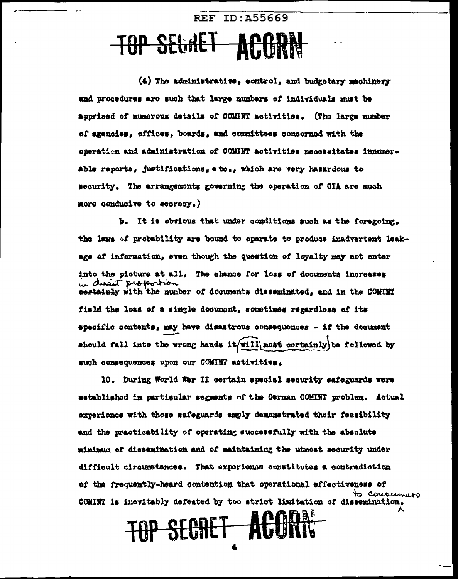### **TOP SEGRET** ACARN-

(4) The administrative, control, and budgetary machinery and procedures are such that large numbers of individuals must be apprised of numerous details of COMINT activities. (The large number of agencies, offices, boards, and committees concorned with the operation and administration of COMINT activities necossitates innumerable reports, justifications, e to., which are very hasardous to security. The arrangements governing the operation of CIA are much more conducive to secrecy.)

REF TD: 455669

b. It is obvious that under conditions such as the foregoing. the laws of probability are bound to operate to produce inadvertent leakage of information, even though the question of loyalty may not enter into the picture at all. The chance for loss of documents increases in discrit proportion cortainly with the number of decuments disseminated, and in the COMINT field the loss of a single documont, sometimes regardless of its specific contents, may have disastrous consequences - if the decument should fall into the wrong hands it/will, most certainly) be followed by such consequences upon our COMINT activities.

10. During World War II certain special security safeguards wore established in particular segments of the German COMINT problem. Actual experience with those safeguards amply demonstrated their feasibility and the practicability of operating successfully with the absolute minimum of dissemination and of maintaining the utmost security under difficult circumstances. That experience constitutes a contradiction of the frequently-heard contention that operational effectiveness of to consumers COMINT is inevitably defeated by too strict limitation of dissemination.

TOP SECRET ACORN